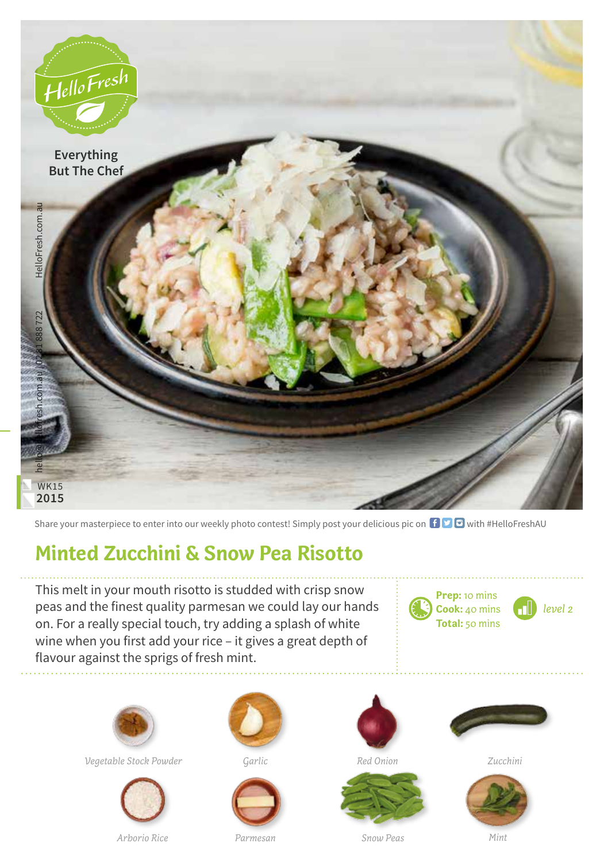

Share your masterpiece to enter into our weekly photo contest! Simply post your delicious pic on  $\bigoplus$   $\bigoplus$  with #HelloFreshAU

## **Minted Zucchini & Snow Pea Risotto**

This melt in your mouth risotto is studded with crisp snow peas and the finest quality parmesan we could lay our hands on. For a really special touch, try adding a splash of white wine when you first add your rice – it gives a great depth of flavour against the sprigs of fresh mint.



**Cook:** 40 mins **Total:** 50 mins

*level 2*



*Vegetable Stock Powder Garlic Red Onion Zucchini*



*Arborio Rice Parmesan Snow Peas Mint*